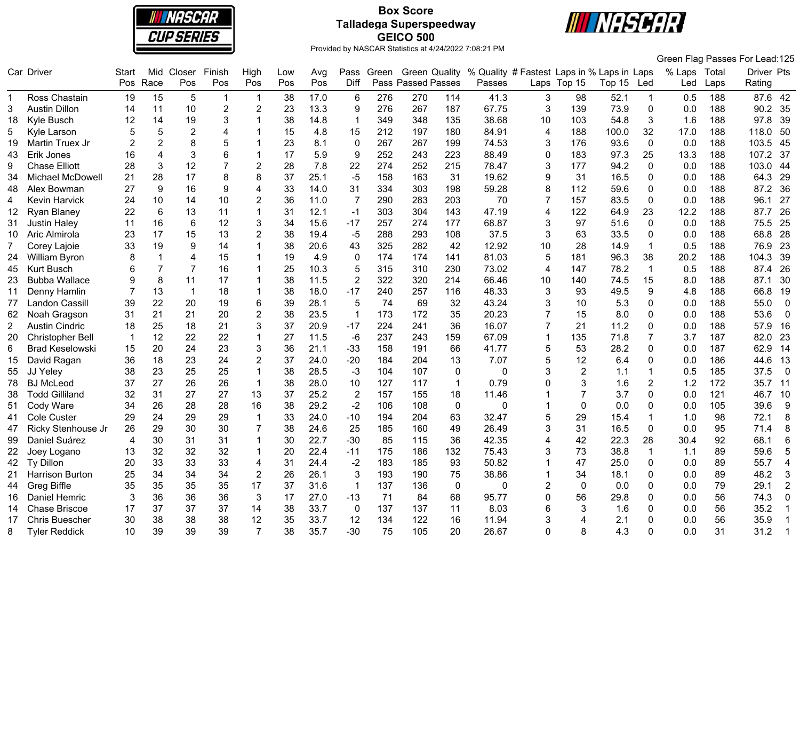

# **Box Score Talladega Superspeedway GEICO 500**



|                |                         |                |                |                |                |                |     |      |                |       |                      |              |                                            |                |                |        |                |        |       | Green Flag Passes For Lead:125 |
|----------------|-------------------------|----------------|----------------|----------------|----------------|----------------|-----|------|----------------|-------|----------------------|--------------|--------------------------------------------|----------------|----------------|--------|----------------|--------|-------|--------------------------------|
|                | Car Driver              | Start          | Mid            | Closer         | Finish         | High           | Low | Avg  | Pass           | Green | <b>Green Quality</b> |              | % Quality # Fastest Laps in % Laps in Laps |                |                |        |                | % Laps | Total | Driver Pts                     |
|                |                         | Pos            | Race           | Pos            | Pos            | Pos            | Pos | Pos  | Diff           |       | Pass Passed Passes   |              | Passes                                     |                | Laps Top 15    | Top 15 | Led            | Led    | Laps  | Rating                         |
|                | Ross Chastain           | 19             | 15             | 5              | -1             | -1             | 38  | 17.0 | 6              | 276   | 270                  | 114          | 41.3                                       | 3              | 98             | 52.1   | $\mathbf{1}$   | 0.5    | 188   | 87.6<br>42                     |
| 3              | <b>Austin Dillon</b>    | 14             | 11             | 10             | $\overline{2}$ | $\overline{2}$ | 23  | 13.3 | 9              | 276   | 267                  | 187          | 67.75                                      | 3              | 139            | 73.9   | $\mathbf 0$    | 0.0    | 188   | 90.2<br>35                     |
| 18             | Kyle Busch              | 12             | 14             | 19             | 3              |                | 38  | 14.8 | $\overline{1}$ | 349   | 348                  | 135          | 38.68                                      | 10             | 103            | 54.8   | 3              | 1.6    | 188   | 97.8<br>39                     |
| 5              | Kyle Larson             | 5              | 5              | $\overline{2}$ | $\overline{4}$ |                | 15  | 4.8  | 15             | 212   | 197                  | 180          | 84.91                                      | 4              | 188            | 100.0  | 32             | 17.0   | 188   | 50<br>118.0                    |
| 19             | Martin Truex Jr         | $\overline{2}$ | $\overline{2}$ | 8              | 5              |                | 23  | 8.1  | $\mathbf 0$    | 267   | 267                  | 199          | 74.53                                      | 3              | 176            | 93.6   | $\mathbf 0$    | 0.0    | 188   | 103.5<br>45                    |
| 43             | Erik Jones              | 16             | 4              | 3              | 6              |                | 17  | 5.9  | 9              | 252   | 243                  | 223          | 88.49                                      | 0              | 183            | 97.3   | 25             | 13.3   | 188   | 37<br>107.2                    |
| 9              | <b>Chase Elliott</b>    | 28             | 3              | 12             | $\overline{7}$ | $\overline{c}$ | 28  | 7.8  | 22             | 274   | 252                  | 215          | 78.47                                      | 3              | 177            | 94.2   | 0              | 0.0    | 188   | 103.0<br>44                    |
| 34             | <b>Michael McDowell</b> | 21             | 28             | 17             | 8              | 8              | 37  | 25.1 | $-5$           | 158   | 163                  | 31           | 19.62                                      | 9              | 31             | 16.5   | $\Omega$       | 0.0    | 188   | 29<br>64.3                     |
| 48             | Alex Bowman             | 27             | 9              | 16             | 9              | 4              | 33  | 14.0 | 31             | 334   | 303                  | 198          | 59.28                                      | 8              | 112            | 59.6   | $\mathbf 0$    | 0.0    | 188   | 87.2<br>36                     |
| 4              | Kevin Harvick           | 24             | 10             | 14             | 10             | $\overline{c}$ | 36  | 11.0 | $\overline{7}$ | 290   | 283                  | 203          | 70                                         | 7              | 157            | 83.5   | $\mathbf 0$    | 0.0    | 188   | 96.1<br>27                     |
| 12             | Ryan Blaney             | 22             | $6\phantom{1}$ | 13             | 11             | 1              | 31  | 12.1 | $-1$           | 303   | 304                  | 143          | 47.19                                      | 4              | 122            | 64.9   | 23             | 12.2   | 188   | 87.7<br>26                     |
| 31             | <b>Justin Haley</b>     | 11             | 16             | 6              | 12             | 3              | 34  | 15.6 | $-17$          | 257   | 274                  | 177          | 68.87                                      | 3              | 97             | 51.6   | $\Omega$       | 0.0    | 188   | 75.5<br>25                     |
| 10             | Aric Almirola           | 23             | 17             | 15             | 13             | $\overline{2}$ | 38  | 19.4 | $-5$           | 288   | 293                  | 108          | 37.5                                       | 3              | 63             | 33.5   | 0              | 0.0    | 188   | 28<br>68.8                     |
| $\overline{7}$ | Corey Lajoie            | 33             | 19             | 9              | 14             |                | 38  | 20.6 | 43             | 325   | 282                  | 42           | 12.92                                      | 10             | 28             | 14.9   | $\overline{1}$ | 0.5    | 188   | 23<br>76.9                     |
| 24             | William Byron           | 8              | 1              | $\overline{4}$ | 15             | 1              | 19  | 4.9  | 0              | 174   | 174                  | 141          | 81.03                                      | 5              | 181            | 96.3   | 38             | 20.2   | 188   | 39<br>104.3                    |
| 45             | <b>Kurt Busch</b>       |                | $\overline{7}$ | 7              | 16             |                | 25  | 10.3 | 5              | 315   | 310                  | 230          | 73.02                                      | 4              | 147            | 78.2   | $\mathbf{1}$   | 0.5    | 188   | 87.4<br>26                     |
| 23             | <b>Bubba Wallace</b>    | 9              | 8              | 11             | 17             |                | 38  | 11.5 | $\overline{2}$ | 322   | 320                  | 214          | 66.46                                      | 10             | 140            | 74.5   | 15             | 8.0    | 188   | 30<br>87.1                     |
| 11             | Denny Hamlin            |                | 13             | $\overline{1}$ | 18             |                | 38  | 18.0 | $-17$          | 240   | 257                  | 116          | 48.33                                      | 3              | 93             | 49.5   | 9              | 4.8    | 188   | 19<br>66.8                     |
| 77             | Landon Cassill          | 39             | 22             | 20             | 19             | $6\phantom{1}$ | 39  | 28.1 | 5              | 74    | 69                   | 32           | 43.24                                      | 3              | 10             | 5.3    | $\mathbf{0}$   | 0.0    | 188   | $\mathbf{0}$<br>55.0           |
| 62             | Noah Gragson            | 31             | 21             | 21             | 20             | $\overline{c}$ | 38  | 23.5 | $\overline{1}$ | 173   | 172                  | 35           | 20.23                                      | 7              | 15             | 8.0    | 0              | 0.0    | 188   | 53.6<br>$\mathbf 0$            |
| 2              | <b>Austin Cindric</b>   | 18             | 25             | 18             | 21             | 3              | 37  | 20.9 | $-17$          | 224   | 241                  | 36           | 16.07                                      | $\overline{7}$ | 21             | 11.2   | $\mathbf{0}$   | 0.0    | 188   | 57.9<br>16                     |
| 20             | <b>Christopher Bell</b> |                | 12             | 22             | 22             | 1              | 27  | 11.5 | $-6$           | 237   | 243                  | 159          | 67.09                                      | $\mathbf 1$    | 135            | 71.8   | 7              | 3.7    | 187   | 82.0<br>23                     |
| 6              | <b>Brad Keselowski</b>  | 15             | 20             | 24             | 23             | 3              | 36  | 21.1 | $-33$          | 158   | 191                  | 66           | 41.77                                      | 5              | 53             | 28.2   | $\mathbf 0$    | 0.0    | 187   | 62.9<br>14                     |
| 15             | David Ragan             | 36             | 18             | 23             | 24             | $\overline{2}$ | 37  | 24.0 | $-20$          | 184   | 204                  | 13           | 7.07                                       | 5              | 12             | 6.4    | 0              | 0.0    | 186   | 44.6<br>13                     |
| 55             | JJ Yeley                | 38             | 23             | 25             | 25             |                | 38  | 28.5 | $-3$           | 104   | 107                  | $\mathbf 0$  | $\Omega$                                   | 3              | $\overline{2}$ | 1.1    | $\overline{1}$ | 0.5    | 185   | $\overline{0}$<br>37.5         |
| 78             | <b>BJ</b> McLeod        | 37             | 27             | 26             | 26             | $\overline{1}$ | 38  | 28.0 | 10             | 127   | 117                  | $\mathbf{1}$ | 0.79                                       | 0              | 3              | 1.6    | $\overline{2}$ | 1.2    | 172   | 35.7<br>11                     |
| 38             | <b>Todd Gilliland</b>   | 32             | 31             | 27             | 27             | 13             | 37  | 25.2 | $\overline{2}$ | 157   | 155                  | 18           | 11.46                                      |                |                | 3.7    | $\mathbf 0$    | 0.0    | 121   | 46.7<br>10                     |
| 51             | Cody Ware               | 34             | 26             | 28             | 28             | 16             | 38  | 29.2 | $-2$           | 106   | 108                  | $\pmb{0}$    | 0                                          | 1              | 0              | 0.0    | 0              | 0.0    | 105   | 39.6<br>9                      |
| 41             | Cole Custer             | 29             | 24             | 29             | 29             |                | 33  | 24.0 | $-10$          | 194   | 204                  | 63           | 32.47                                      | 5              | 29             | 15.4   | $\overline{1}$ | 1.0    | 98    | 72.1<br>8                      |
| 47             | Ricky Stenhouse Jr      | 26             | 29             | 30             | 30             | 7              | 38  | 24.6 | 25             | 185   | 160                  | 49           | 26.49                                      | 3              | 31             | 16.5   | $\mathbf{0}$   | 0.0    | 95    | 71.4<br>8                      |
| 99             | Daniel Suárez           | $\overline{4}$ | 30             | 31             | 31             | -1             | 30  | 22.7 | $-30$          | 85    | 115                  | 36           | 42.35                                      | 4              | 42             | 22.3   | 28             | 30.4   | 92    | 68.1<br>6                      |
| 22             | Joey Logano             | 13             | 32             | 32             | 32             | 1              | 20  | 22.4 | $-11$          | 175   | 186                  | 132          | 75.43                                      | 3              | 73             | 38.8   | $\mathbf{1}$   | 1.1    | 89    | 59.6<br>5                      |
| 42             | Ty Dillon               | 20             | 33             | 33             | 33             | 4              | 31  | 24.4 | $-2$           | 183   | 185                  | 93           | 50.82                                      | 1              | 47             | 25.0   | 0              | 0.0    | 89    | 55.7<br>4                      |
| 21             | <b>Harrison Burton</b>  | 25             | 34             | 34             | 34             | $\overline{2}$ | 26  | 26.1 | 3              | 193   | 190                  | 75           | 38.86                                      | 1              | 34             | 18.1   | $\mathbf{0}$   | 0.0    | 89    | 48.2<br>3                      |
| 44             | <b>Greg Biffle</b>      | 35             | 35             | 35             | 35             | 17             | 37  | 31.6 | $\mathbf{1}$   | 137   | 136                  | $\mathbf 0$  | 0                                          | $\overline{c}$ | 0              | 0.0    | $\mathbf{0}$   | 0.0    | 79    | $\overline{2}$<br>29.1         |
| 16             | Daniel Hemric           | 3              | 36             | 36             | 36             | 3              | 17  | 27.0 | $-13$          | 71    | 84                   | 68           | 95.77                                      | 0              | 56             | 29.8   | $\mathbf 0$    | 0.0    | 56    | $\mathbf 0$<br>74.3            |
| 14             | <b>Chase Briscoe</b>    | 17             | 37             | 37             | 37             | 14             | 38  | 33.7 | 0              | 137   | 137                  | 11           | 8.03                                       | 6              | 3              | 1.6    | 0              | 0.0    | 56    | 35.2<br>1                      |
| 17             | <b>Chris Buescher</b>   | 30             | 38             | 38             | 38             | 12             | 35  | 33.7 | 12             | 134   | 122                  | 16           | 11.94                                      | 3              | 4              | 2.1    | $\Omega$       | 0.0    | 56    | 35.9<br>-1                     |
| 8              | <b>Tyler Reddick</b>    | 10             | 39             | 39             | 39             | $\overline{7}$ | 38  | 35.7 | $-30$          | 75    | 105                  | 20           | 26.67                                      | 0              | 8              | 4.3    | $\Omega$       | 0.0    | 31    | 31.2<br>$\mathbf 1$            |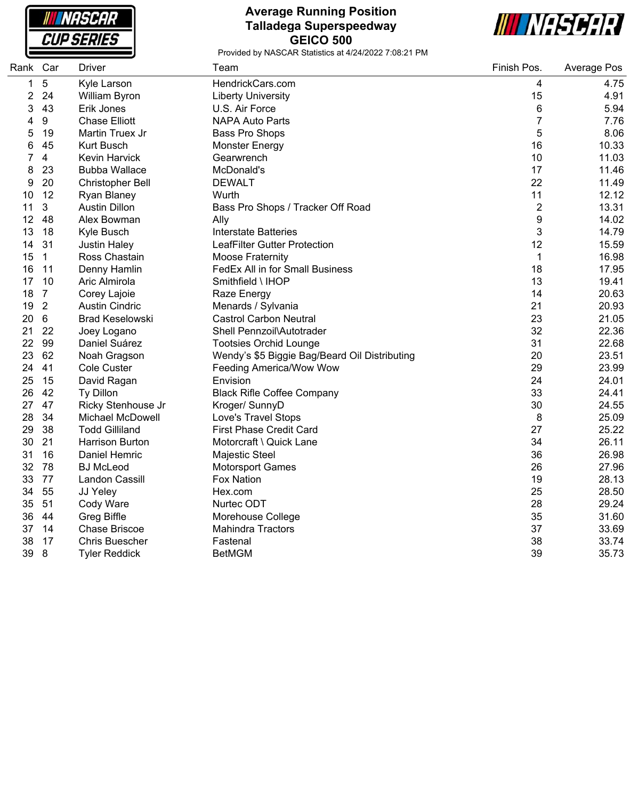**NASCAR CUP SERIES** 

#### **Average Running Position Talladega Superspeedway GEICO 500**



| Rank Car |                | <b>Driver</b>           | Team                                          | Finish Pos.    | Average Pos |
|----------|----------------|-------------------------|-----------------------------------------------|----------------|-------------|
| 1        | $\mathbf 5$    | Kyle Larson             | HendrickCars.com                              | 4              | 4.75        |
| 2        | 24             | William Byron           | <b>Liberty University</b>                     | 15             | 4.91        |
| 3        | 43             | Erik Jones              | U.S. Air Force                                | 6              | 5.94        |
| 4        | 9              | <b>Chase Elliott</b>    | <b>NAPA Auto Parts</b>                        | $\overline{7}$ | 7.76        |
| 5        | 19             | Martin Truex Jr         | Bass Pro Shops                                | 5              | 8.06        |
| 6        | 45             | <b>Kurt Busch</b>       | <b>Monster Energy</b>                         | 16             | 10.33       |
| 7        | $\overline{4}$ | Kevin Harvick           | Gearwrench                                    | 10             | 11.03       |
| 8        | 23             | <b>Bubba Wallace</b>    | McDonald's                                    | 17             | 11.46       |
| 9        | 20             | <b>Christopher Bell</b> | <b>DEWALT</b>                                 | 22             | 11.49       |
| 10       | 12             | Ryan Blaney             | Wurth                                         | 11             | 12.12       |
| 11       | 3              | <b>Austin Dillon</b>    | Bass Pro Shops / Tracker Off Road             | $\overline{c}$ | 13.31       |
| 12       | 48             | Alex Bowman             | Ally                                          | 9              | 14.02       |
| 13       | 18             | Kyle Busch              | <b>Interstate Batteries</b>                   | 3              | 14.79       |
| 14       | 31             | <b>Justin Haley</b>     | LeafFilter Gutter Protection                  | 12             | 15.59       |
| 15       | $\mathbf{1}$   | Ross Chastain           | <b>Moose Fraternity</b>                       | 1              | 16.98       |
| 16       | 11             | Denny Hamlin            | FedEx All in for Small Business               | 18             | 17.95       |
| 17       | 10             | Aric Almirola           | Smithfield \ IHOP                             | 13             | 19.41       |
| 18       | $\overline{7}$ | Corey Lajoie            | Raze Energy                                   | 14             | 20.63       |
| 19       | $\overline{2}$ | <b>Austin Cindric</b>   | Menards / Sylvania                            | 21             | 20.93       |
| 20       | 6              | <b>Brad Keselowski</b>  | <b>Castrol Carbon Neutral</b>                 | 23             | 21.05       |
| 21       | 22             | Joey Logano             | Shell Pennzoil\Autotrader                     | 32             | 22.36       |
| 22       | 99             | Daniel Suárez           | <b>Tootsies Orchid Lounge</b>                 | 31             | 22.68       |
| 23       | 62             | Noah Gragson            | Wendy's \$5 Biggie Bag/Beard Oil Distributing | 20             | 23.51       |
| 24       | 41             | <b>Cole Custer</b>      | Feeding America/Wow Wow                       | 29             | 23.99       |
| 25       | 15             | David Ragan             | Envision                                      | 24             | 24.01       |
| 26       | 42             | Ty Dillon               | <b>Black Rifle Coffee Company</b>             | 33             | 24.41       |
| 27       | 47             | Ricky Stenhouse Jr      | Kroger/ SunnyD                                | 30             | 24.55       |
| 28       | 34             | Michael McDowell        | Love's Travel Stops                           | 8              | 25.09       |
| 29       | 38             | <b>Todd Gilliland</b>   | First Phase Credit Card                       | 27             | 25.22       |
| 30       | 21             | <b>Harrison Burton</b>  | Motorcraft \ Quick Lane                       | 34             | 26.11       |
| 31       | 16             | Daniel Hemric           | Majestic Steel                                | 36             | 26.98       |
| 32       | 78             | <b>BJ</b> McLeod        | <b>Motorsport Games</b>                       | 26             | 27.96       |
| 33       | 77             | Landon Cassill          | Fox Nation                                    | 19             | 28.13       |
| 34       | 55             | JJ Yeley                | Hex.com                                       | 25             | 28.50       |
| 35       | 51             | Cody Ware               | Nurtec ODT                                    | 28             | 29.24       |
| 36       | 44             | <b>Greg Biffle</b>      | Morehouse College                             | 35             | 31.60       |
| 37       | 14             | <b>Chase Briscoe</b>    | <b>Mahindra Tractors</b>                      | 37             | 33.69       |
| 38       | 17             | <b>Chris Buescher</b>   | Fastenal                                      | 38             | 33.74       |
| 39       | 8              | <b>Tyler Reddick</b>    | <b>BetMGM</b>                                 | 39             | 35.73       |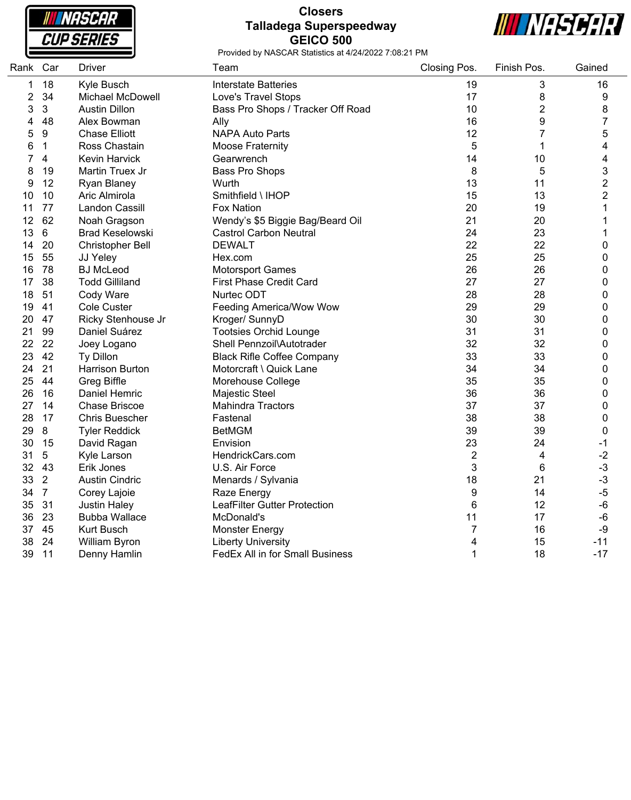**NASCAR CUP SERIES** 

### **Closers Talladega Superspeedway GEICO 500**



| Rank           | Car            | <b>Driver</b>           | Team                                | Closing Pos.   | Finish Pos. | Gained         |
|----------------|----------------|-------------------------|-------------------------------------|----------------|-------------|----------------|
| 1              | 18             | Kyle Busch              | <b>Interstate Batteries</b>         | 19             | 3           | 16             |
| $\overline{2}$ | 34             | <b>Michael McDowell</b> | Love's Travel Stops                 | 17             | 8           | 9              |
| 3              | 3              | <b>Austin Dillon</b>    | Bass Pro Shops / Tracker Off Road   | 10             | 2           | 8              |
| 4              | 48             | Alex Bowman             | Ally                                | 16             | 9           | $\overline{7}$ |
| 5              | 9              | <b>Chase Elliott</b>    | <b>NAPA Auto Parts</b>              | 12             | 7           | 5              |
| 6              | $\mathbf 1$    | Ross Chastain           | <b>Moose Fraternity</b>             | 5              | 1           | 4              |
| 7              | 4              | <b>Kevin Harvick</b>    | Gearwrench                          | 14             | 10          | 4              |
| 8              | 19             | Martin Truex Jr         | Bass Pro Shops                      | 8              | 5           | 3              |
| 9              | 12             | Ryan Blaney             | Wurth                               | 13             | 11          | $\overline{2}$ |
| 10             | 10             | Aric Almirola           | Smithfield \ IHOP                   | 15             | 13          | $\overline{c}$ |
| 11             | 77             | <b>Landon Cassill</b>   | Fox Nation                          | 20             | 19          | $\mathbf{1}$   |
| 12             | 62             | Noah Gragson            | Wendy's \$5 Biggie Bag/Beard Oil    | 21             | 20          | 1              |
| 13             | 6              | <b>Brad Keselowski</b>  | <b>Castrol Carbon Neutral</b>       | 24             | 23          | 1              |
| 14             | 20             | <b>Christopher Bell</b> | <b>DEWALT</b>                       | 22             | 22          | 0              |
| 15             | 55             | JJ Yeley                | Hex.com                             | 25             | 25          | 0              |
| 16             | 78             | <b>BJ</b> McLeod        | <b>Motorsport Games</b>             | 26             | 26          | 0              |
| 17             | 38             | <b>Todd Gilliland</b>   | <b>First Phase Credit Card</b>      | 27             | 27          | 0              |
| 18             | 51             | Cody Ware               | Nurtec ODT                          | 28             | 28          | 0              |
| 19             | 41             | Cole Custer             | Feeding America/Wow Wow             | 29             | 29          | 0              |
| 20             | 47             | Ricky Stenhouse Jr      | Kroger/ SunnyD                      | 30             | 30          | 0              |
| 21             | 99             | Daniel Suárez           | <b>Tootsies Orchid Lounge</b>       | 31             | 31          | 0              |
| 22             | 22             | Joey Logano             | Shell Pennzoil\Autotrader           | 32             | 32          | 0              |
| 23             | 42             | Ty Dillon               | <b>Black Rifle Coffee Company</b>   | 33             | 33          | 0              |
| 24             | 21             | <b>Harrison Burton</b>  | Motorcraft \ Quick Lane             | 34             | 34          | 0              |
| 25             | 44             | <b>Greg Biffle</b>      | Morehouse College                   | 35             | 35          | 0              |
| 26             | 16             | Daniel Hemric           | Majestic Steel                      | 36             | 36          | 0              |
| 27             | 14             | <b>Chase Briscoe</b>    | <b>Mahindra Tractors</b>            | 37             | 37          | 0              |
| 28             | 17             | Chris Buescher          | Fastenal                            | 38             | 38          | 0              |
| 29             | 8              | <b>Tyler Reddick</b>    | <b>BetMGM</b>                       | 39             | 39          | $\mathbf 0$    |
| 30             | 15             | David Ragan             | Envision                            | 23             | 24          | $-1$           |
| 31             | 5              | Kyle Larson             | HendrickCars.com                    | $\overline{2}$ | 4           | $-2$           |
| 32             | 43             | Erik Jones              | U.S. Air Force                      | 3              | 6           | $-3$           |
| 33             | $\overline{2}$ | <b>Austin Cindric</b>   | Menards / Sylvania                  | 18             | 21          | $-3$           |
| 34             | $\overline{7}$ | Corey Lajoie            | Raze Energy                         | 9              | 14          | $-5$           |
| 35             | 31             | <b>Justin Haley</b>     | <b>LeafFilter Gutter Protection</b> | 6              | 12          | $-6$           |
| 36             | 23             | <b>Bubba Wallace</b>    | McDonald's                          | 11             | 17          | $-6$           |
| 37             | 45             | Kurt Busch              | <b>Monster Energy</b>               | $\overline{7}$ | 16          | $-9$           |
| 38             | 24             | William Byron           | <b>Liberty University</b>           | 4              | 15          | $-11$          |
| 39             | 11             | Denny Hamlin            | FedEx All in for Small Business     | $\mathbf{1}$   | 18          | $-17$          |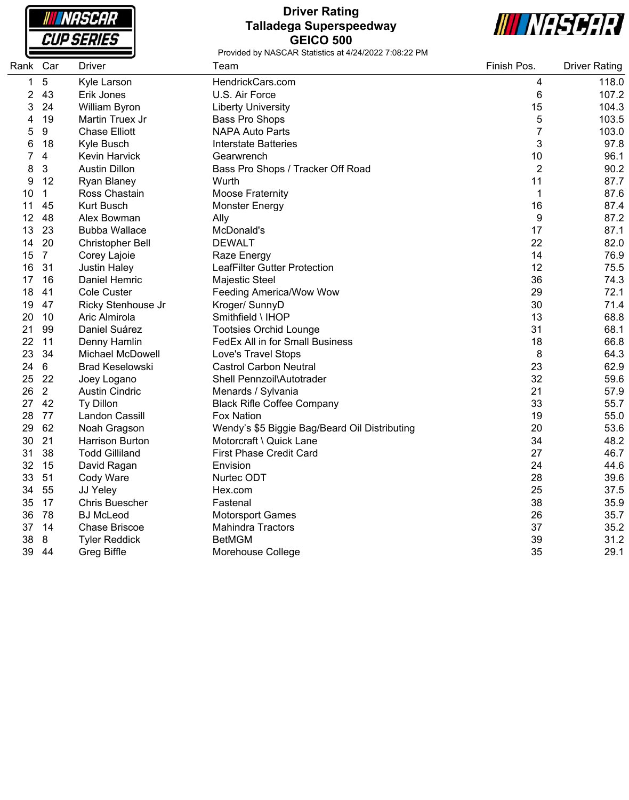NASCAR **CUP SERIES** 

## **Driver Rating Talladega Superspeedway GEICO 500**



| Rank | Car              | <b>Driver</b>           | Team                                          | Finish Pos.    | <b>Driver Rating</b> |
|------|------------------|-------------------------|-----------------------------------------------|----------------|----------------------|
| 1    | 5                | Kyle Larson             | HendrickCars.com                              | 4              | 118.0                |
| 2    | 43               | Erik Jones              | U.S. Air Force                                | 6              | 107.2                |
| 3    | 24               | William Byron           | <b>Liberty University</b>                     | 15             | 104.3                |
| 4    | 19               | Martin Truex Jr         | Bass Pro Shops                                | 5              | 103.5                |
| 5    | $\boldsymbol{9}$ | <b>Chase Elliott</b>    | <b>NAPA Auto Parts</b>                        | $\overline{7}$ | 103.0                |
| 6    | 18               | Kyle Busch              | Interstate Batteries                          | 3              | 97.8                 |
| 7    | 4                | <b>Kevin Harvick</b>    | Gearwrench                                    | 10             | 96.1                 |
| 8    | 3                | <b>Austin Dillon</b>    | Bass Pro Shops / Tracker Off Road             | $\overline{2}$ | 90.2                 |
| 9    | 12               | Ryan Blaney             | Wurth                                         | 11             | 87.7                 |
| 10   | 1                | Ross Chastain           | <b>Moose Fraternity</b>                       | $\mathbf{1}$   | 87.6                 |
| 11   | 45               | <b>Kurt Busch</b>       | <b>Monster Energy</b>                         | 16             | 87.4                 |
| 12   | 48               | Alex Bowman             | Ally                                          | 9              | 87.2                 |
| 13   | 23               | <b>Bubba Wallace</b>    | McDonald's                                    | 17             | 87.1                 |
| 14   | 20               | Christopher Bell        | <b>DEWALT</b>                                 | 22             | 82.0                 |
| 15   | $\overline{7}$   | Corey Lajoie            | Raze Energy                                   | 14             | 76.9                 |
| 16   | 31               | <b>Justin Haley</b>     | LeafFilter Gutter Protection                  | 12             | 75.5                 |
| 17   | 16               | Daniel Hemric           | Majestic Steel                                | 36             | 74.3                 |
| 18   | 41               | <b>Cole Custer</b>      | Feeding America/Wow Wow                       | 29             | 72.1                 |
| 19   | 47               | Ricky Stenhouse Jr      | Kroger/ SunnyD                                | 30             | 71.4                 |
| 20   | 10               | Aric Almirola           | Smithfield \ IHOP                             | 13             | 68.8                 |
| 21   | 99               | Daniel Suárez           | <b>Tootsies Orchid Lounge</b>                 | 31             | 68.1                 |
| 22   | 11               | Denny Hamlin            | FedEx All in for Small Business               | 18             | 66.8                 |
| 23   | 34               | <b>Michael McDowell</b> | Love's Travel Stops                           | 8              | 64.3                 |
| 24   | 6                | <b>Brad Keselowski</b>  | <b>Castrol Carbon Neutral</b>                 | 23             | 62.9                 |
| 25   | 22               | Joey Logano             | Shell Pennzoil\Autotrader                     | 32             | 59.6                 |
| 26   | $\overline{2}$   | <b>Austin Cindric</b>   | Menards / Sylvania                            | 21             | 57.9                 |
| 27   | 42               | Ty Dillon               | <b>Black Rifle Coffee Company</b>             | 33             | 55.7                 |
| 28   | 77               | Landon Cassill          | <b>Fox Nation</b>                             | 19             | 55.0                 |
| 29   | 62               | Noah Gragson            | Wendy's \$5 Biggie Bag/Beard Oil Distributing | 20             | 53.6                 |
| 30   | 21               | <b>Harrison Burton</b>  | Motorcraft \ Quick Lane                       | 34             | 48.2                 |
| 31   | 38               | <b>Todd Gilliland</b>   | <b>First Phase Credit Card</b>                | 27             | 46.7                 |
| 32   | 15               | David Ragan             | Envision                                      | 24             | 44.6                 |
| 33   | 51               | Cody Ware               | Nurtec ODT                                    | 28             | 39.6                 |
| 34   | 55               | JJ Yeley                | Hex.com                                       | 25             | 37.5                 |
| 35   | 17               | <b>Chris Buescher</b>   | Fastenal                                      | 38             | 35.9                 |
| 36   | 78               | <b>BJ McLeod</b>        | <b>Motorsport Games</b>                       | 26             | 35.7                 |
| 37   | 14               | <b>Chase Briscoe</b>    | <b>Mahindra Tractors</b>                      | 37             | 35.2                 |
| 38   | 8                | <b>Tyler Reddick</b>    | <b>BetMGM</b>                                 | 39             | 31.2                 |
| 39   | 44               | <b>Greg Biffle</b>      | Morehouse College                             | 35             | 29.1                 |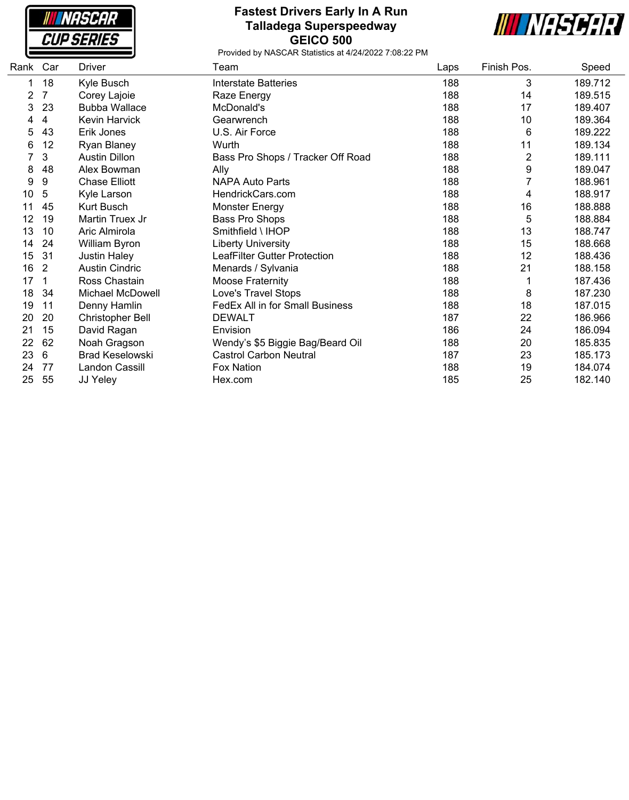**NASCAR CUP SERIES** 

## **Fastest Drivers Early In A Run Talladega Superspeedway GEICO 500**



| Rank Car |    | Driver                  | Team                              | Laps | Finish Pos.    | Speed   |
|----------|----|-------------------------|-----------------------------------|------|----------------|---------|
|          | 18 | Kyle Busch              | <b>Interstate Batteries</b>       | 188  | 3              | 189.712 |
| 2        | 7  | Corey Lajoie            | Raze Energy                       | 188  | 14             | 189.515 |
| 3        | 23 | <b>Bubba Wallace</b>    | McDonald's                        | 188  | 17             | 189.407 |
| 4        | 4  | Kevin Harvick           | Gearwrench                        | 188  | 10             | 189.364 |
| 5        | 43 | Erik Jones              | U.S. Air Force                    | 188  | 6              | 189.222 |
| 6        | 12 | Ryan Blaney             | Wurth                             | 188  | 11             | 189.134 |
|          | 3  | <b>Austin Dillon</b>    | Bass Pro Shops / Tracker Off Road | 188  | $\overline{2}$ | 189.111 |
| 8        | 48 | Alex Bowman             | Ally                              | 188  | 9              | 189.047 |
| 9        | 9  | <b>Chase Elliott</b>    | <b>NAPA Auto Parts</b>            | 188  |                | 188.961 |
| 10       | 5  | Kyle Larson             | HendrickCars.com                  | 188  | 4              | 188.917 |
| 11       | 45 | Kurt Busch              | Monster Energy                    | 188  | 16             | 188.888 |
| 12       | 19 | Martin Truex Jr         | Bass Pro Shops                    | 188  | 5              | 188.884 |
| 13       | 10 | Aric Almirola           | Smithfield \ IHOP                 | 188  | 13             | 188.747 |
| 14       | 24 | William Byron           | <b>Liberty University</b>         | 188  | 15             | 188.668 |
| 15       | 31 | <b>Justin Haley</b>     | LeafFilter Gutter Protection      | 188  | 12             | 188.436 |
| 16       | 2  | <b>Austin Cindric</b>   | Menards / Sylvania                | 188  | 21             | 188.158 |
| 17       | 1  | Ross Chastain           | <b>Moose Fraternity</b>           | 188  |                | 187.436 |
| 18       | 34 | <b>Michael McDowell</b> | Love's Travel Stops               | 188  | 8              | 187.230 |
| 19       | 11 | Denny Hamlin            | FedEx All in for Small Business   | 188  | 18             | 187.015 |
| 20       | 20 | <b>Christopher Bell</b> | <b>DEWALT</b>                     | 187  | 22             | 186.966 |
| 21       | 15 | David Ragan             | Envision                          | 186  | 24             | 186.094 |
| 22       | 62 | Noah Gragson            | Wendy's \$5 Biggie Bag/Beard Oil  | 188  | 20             | 185.835 |
| 23       | 6  | <b>Brad Keselowski</b>  | <b>Castrol Carbon Neutral</b>     | 187  | 23             | 185.173 |
| 24       | 77 | Landon Cassill          | <b>Fox Nation</b>                 | 188  | 19             | 184.074 |
| 25       | 55 | JJ Yeley                | Hex.com                           | 185  | 25             | 182.140 |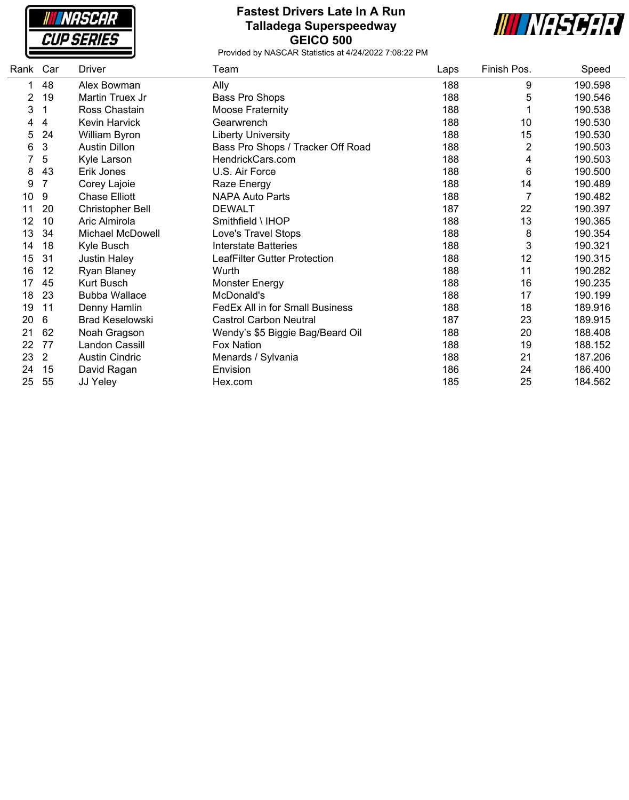**NASCAR CUP SERIES** 

## **Fastest Drivers Late In A Run Talladega Superspeedway GEICO 500**



| Rank | Car            | Driver                 | Team                                   | Laps | Finish Pos. | Speed   |
|------|----------------|------------------------|----------------------------------------|------|-------------|---------|
|      | 48             | Alex Bowman            | Ally                                   | 188  | 9           | 190.598 |
| 2    | 19             | Martin Truex Jr        | Bass Pro Shops                         | 188  | 5           | 190.546 |
| 3    |                | Ross Chastain          | <b>Moose Fraternity</b>                | 188  |             | 190.538 |
| 4    | 4              | Kevin Harvick          | Gearwrench                             | 188  | 10          | 190.530 |
| 5    | 24             | William Byron          | <b>Liberty University</b>              | 188  | 15          | 190.530 |
| 6    | 3              | <b>Austin Dillon</b>   | Bass Pro Shops / Tracker Off Road      | 188  | 2           | 190.503 |
|      | 5              | Kyle Larson            | HendrickCars.com                       | 188  | 4           | 190.503 |
| 8    | 43             | Erik Jones             | U.S. Air Force                         | 188  | 6           | 190.500 |
| 9    | 7              | Corey Lajoie           | Raze Energy                            | 188  | 14          | 190.489 |
| 10   | 9              | <b>Chase Elliott</b>   | <b>NAPA Auto Parts</b>                 | 188  | 7           | 190.482 |
| 11   | 20             | Christopher Bell       | <b>DEWALT</b>                          | 187  | 22          | 190.397 |
| 12   | 10             | Aric Almirola          | Smithfield \ IHOP                      | 188  | 13          | 190.365 |
| 13   | 34             | Michael McDowell       | Love's Travel Stops                    | 188  | 8           | 190.354 |
| 14   | 18             | Kyle Busch             | <b>Interstate Batteries</b>            | 188  | 3           | 190.321 |
| 15   | 31             | Justin Haley           | LeafFilter Gutter Protection           | 188  | 12          | 190.315 |
| 16   | 12             | Ryan Blaney            | Wurth                                  | 188  | 11          | 190.282 |
| 17   | 45             | Kurt Busch             | Monster Energy                         | 188  | 16          | 190.235 |
| 18   | 23             | <b>Bubba Wallace</b>   | McDonald's                             | 188  | 17          | 190.199 |
| 19   | 11             | Denny Hamlin           | <b>FedEx All in for Small Business</b> | 188  | 18          | 189.916 |
| 20   | 6              | <b>Brad Keselowski</b> | <b>Castrol Carbon Neutral</b>          | 187  | 23          | 189.915 |
| 21   | 62             | Noah Gragson           | Wendy's \$5 Biggie Bag/Beard Oil       | 188  | 20          | 188.408 |
| 22   | 77             | Landon Cassill         | Fox Nation                             | 188  | 19          | 188.152 |
| 23   | $\overline{2}$ | <b>Austin Cindric</b>  | Menards / Sylvania                     | 188  | 21          | 187.206 |
| 24   | 15             | David Ragan            | Envision                               | 186  | 24          | 186.400 |
| 25   | 55             | JJ Yeley               | Hex.com                                | 185  | 25          | 184.562 |
|      |                |                        |                                        |      |             |         |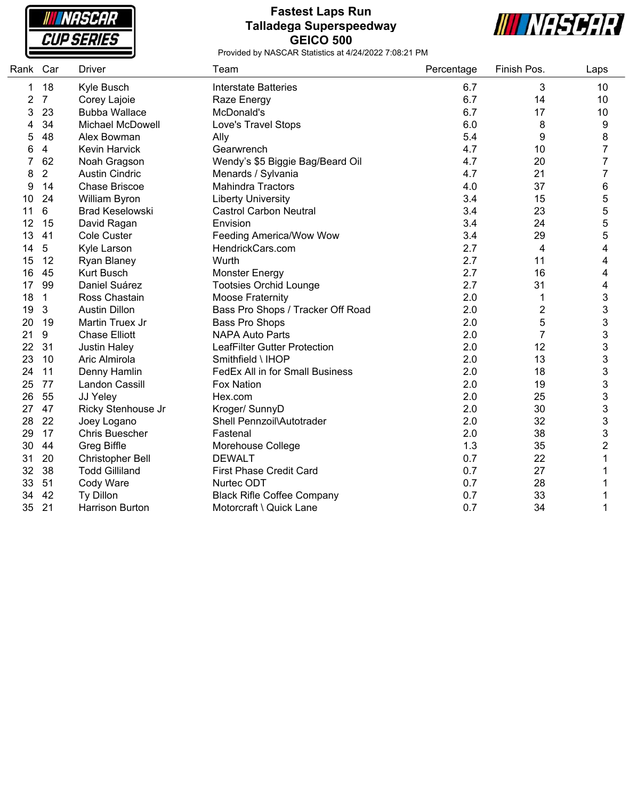NASCAR **CUP SERIES** 

### **Fastest Laps Run Talladega Superspeedway GEICO 500**



| Rank | Car            | <b>Driver</b>           | Team                              | Percentage | Finish Pos.             | Laps           |
|------|----------------|-------------------------|-----------------------------------|------------|-------------------------|----------------|
| 1    | 18             | Kyle Busch              | <b>Interstate Batteries</b>       | 6.7        | 3                       | 10             |
| 2    | $\overline{7}$ | Corey Lajoie            | Raze Energy                       | 6.7        | 14                      | 10             |
| 3    | 23             | <b>Bubba Wallace</b>    | McDonald's                        | 6.7        | 17                      | 10             |
| 4    | 34             | Michael McDowell        | Love's Travel Stops               | 6.0        | 8                       | 9              |
| 5    | 48             | Alex Bowman             | Ally                              | 5.4        | 9                       | 8              |
| 6    | 4              | <b>Kevin Harvick</b>    | Gearwrench                        | 4.7        | 10                      | $\overline{7}$ |
|      | 62             | Noah Gragson            | Wendy's \$5 Biggie Bag/Beard Oil  | 4.7        | 20                      | 7              |
| 8    | $\overline{2}$ | <b>Austin Cindric</b>   | Menards / Sylvania                | 4.7        | 21                      | 7              |
| 9    | 14             | <b>Chase Briscoe</b>    | <b>Mahindra Tractors</b>          | 4.0        | 37                      | 6              |
| 10   | 24             | William Byron           | <b>Liberty University</b>         | 3.4        | 15                      | 5              |
| 11   | 6              | <b>Brad Keselowski</b>  | <b>Castrol Carbon Neutral</b>     | 3.4        | 23                      | 5              |
| 12   | 15             | David Ragan             | Envision                          | 3.4        | 24                      | 5              |
| 13   | 41             | Cole Custer             | Feeding America/Wow Wow           | 3.4        | 29                      | 5              |
| 14   | 5              | Kyle Larson             | HendrickCars.com                  | 2.7        | 4                       | 4              |
| 15   | 12             | Ryan Blaney             | Wurth                             | 2.7        | 11                      | 4              |
| 16   | 45             | <b>Kurt Busch</b>       | <b>Monster Energy</b>             | 2.7        | 16                      | 4              |
| 17   | 99             | Daniel Suárez           | <b>Tootsies Orchid Lounge</b>     | 2.7        | 31                      | 4              |
| 18   | $\mathbf{1}$   | Ross Chastain           | Moose Fraternity                  | 2.0        | 1                       | 3              |
| 19   | $\mathbf{3}$   | <b>Austin Dillon</b>    | Bass Pro Shops / Tracker Off Road | 2.0        | $\overline{\mathbf{c}}$ | 3              |
| 20   | 19             | Martin Truex Jr         | Bass Pro Shops                    | 2.0        | 5                       | 3              |
| 21   | 9              | <b>Chase Elliott</b>    | <b>NAPA Auto Parts</b>            | 2.0        | $\overline{7}$          | 3              |
| 22   | 31             | <b>Justin Haley</b>     | LeafFilter Gutter Protection      | 2.0        | 12                      | 3              |
| 23   | 10             | Aric Almirola           | Smithfield \ IHOP                 | 2.0        | 13                      | 3              |
| 24   | 11             | Denny Hamlin            | FedEx All in for Small Business   | 2.0        | 18                      | 3              |
| 25   | 77             | Landon Cassill          | <b>Fox Nation</b>                 | 2.0        | 19                      | 3              |
| 26   | 55             | JJ Yeley                | Hex.com                           | 2.0        | 25                      | 3              |
| 27   | 47             | Ricky Stenhouse Jr      | Kroger/ SunnyD                    | 2.0        | 30                      | 3              |
| 28   | 22             | Joey Logano             | Shell Pennzoil\Autotrader         | 2.0        | 32                      | 3              |
| 29   | 17             | Chris Buescher          | Fastenal                          | 2.0        | 38                      | 3              |
| 30   | 44             | <b>Greg Biffle</b>      | Morehouse College                 | 1.3        | 35                      | 2              |
| 31   | 20             | <b>Christopher Bell</b> | <b>DEWALT</b>                     | 0.7        | 22                      |                |
| 32   | 38             | <b>Todd Gilliland</b>   | <b>First Phase Credit Card</b>    | 0.7        | 27                      |                |
| 33   | 51             | Cody Ware               | Nurtec ODT                        | 0.7        | 28                      |                |
| 34   | 42             | Ty Dillon               | <b>Black Rifle Coffee Company</b> | 0.7        | 33                      |                |
| 35   | 21             | <b>Harrison Burton</b>  | Motorcraft \ Quick Lane           | 0.7        | 34                      | 1              |
|      |                |                         |                                   |            |                         |                |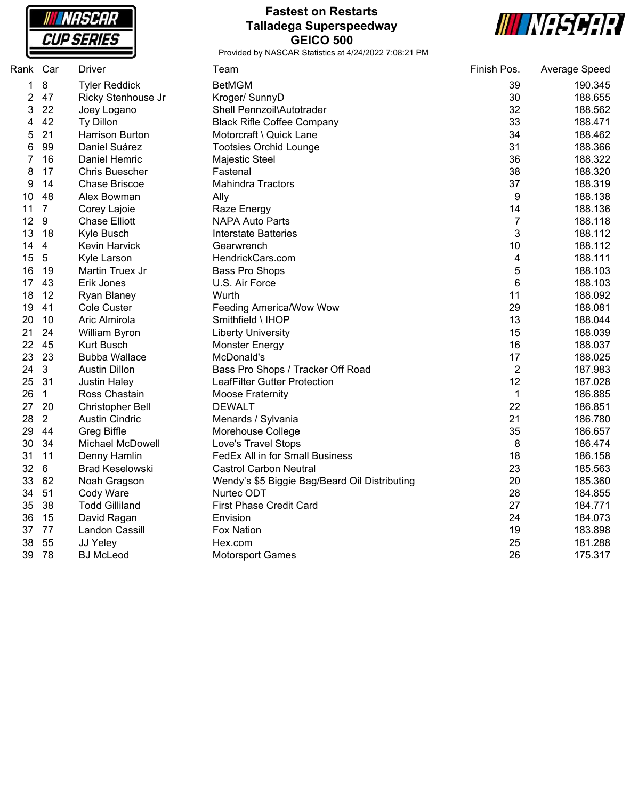**INASCAR CUP SERIES** 

#### **Fastest on Restarts Talladega Superspeedway GEICO 500**



and a

| Rank Car     |                  | <b>Driver</b>           | Team                                          | Finish Pos.    | Average Speed |
|--------------|------------------|-------------------------|-----------------------------------------------|----------------|---------------|
| $\mathbf{1}$ | 8                | <b>Tyler Reddick</b>    | <b>BetMGM</b>                                 | 39             | 190.345       |
| 2            | 47               | Ricky Stenhouse Jr      | Kroger/ SunnyD                                | 30             | 188.655       |
| 3            | 22               | Joey Logano             | Shell Pennzoil\Autotrader                     | 32             | 188.562       |
| 4            | 42               | Ty Dillon               | <b>Black Rifle Coffee Company</b>             | 33             | 188.471       |
| 5            | 21               | <b>Harrison Burton</b>  | Motorcraft \ Quick Lane                       | 34             | 188.462       |
| 6            | 99               | Daniel Suárez           | <b>Tootsies Orchid Lounge</b>                 | 31             | 188.366       |
| 7            | 16               | Daniel Hemric           | Majestic Steel                                | 36             | 188.322       |
| 8            | 17               | <b>Chris Buescher</b>   | Fastenal                                      | 38             | 188.320       |
| 9            | 14               | <b>Chase Briscoe</b>    | <b>Mahindra Tractors</b>                      | 37             | 188.319       |
| 10           | 48               | Alex Bowman             | Ally                                          | 9              | 188.138       |
| 11           | $\overline{7}$   | Corey Lajoie            | Raze Energy                                   | 14             | 188.136       |
| 12           | $\boldsymbol{9}$ | <b>Chase Elliott</b>    | <b>NAPA Auto Parts</b>                        | $\overline{7}$ | 188.118       |
| 13           | 18               | Kyle Busch              | <b>Interstate Batteries</b>                   | 3              | 188.112       |
| 14           | 4                | <b>Kevin Harvick</b>    | Gearwrench                                    | 10             | 188.112       |
| 15           | $\sqrt{5}$       | Kyle Larson             | HendrickCars.com                              | 4              | 188.111       |
| 16           | 19               | Martin Truex Jr         | Bass Pro Shops                                | 5              | 188.103       |
| 17           | 43               | Erik Jones              | U.S. Air Force                                | 6              | 188.103       |
| 18           | 12               | Ryan Blaney             | Wurth                                         | 11             | 188.092       |
| 19           | 41               | <b>Cole Custer</b>      | Feeding America/Wow Wow                       | 29             | 188.081       |
| 20           | 10               | Aric Almirola           | Smithfield \ IHOP                             | 13             | 188.044       |
| 21           | 24               | William Byron           | <b>Liberty University</b>                     | 15             | 188.039       |
| 22           | 45               | <b>Kurt Busch</b>       | <b>Monster Energy</b>                         | 16             | 188.037       |
| 23           | 23               | <b>Bubba Wallace</b>    | McDonald's                                    | 17             | 188.025       |
| 24           | 3                | <b>Austin Dillon</b>    | Bass Pro Shops / Tracker Off Road             | $\overline{2}$ | 187.983       |
| 25           | 31               | <b>Justin Haley</b>     | LeafFilter Gutter Protection                  | 12             | 187.028       |
| 26           | $\mathbf{1}$     | Ross Chastain           | <b>Moose Fraternity</b>                       | 1              | 186.885       |
| 27           | 20               | <b>Christopher Bell</b> | <b>DEWALT</b>                                 | 22             | 186.851       |
| 28           | $\overline{2}$   | <b>Austin Cindric</b>   | Menards / Sylvania                            | 21             | 186.780       |
| 29           | 44               | <b>Greg Biffle</b>      | Morehouse College                             | 35             | 186.657       |
| 30           | 34               | Michael McDowell        | Love's Travel Stops                           | 8              | 186.474       |
| 31           | 11               | Denny Hamlin            | FedEx All in for Small Business               | 18             | 186.158       |
| 32           | 6                | <b>Brad Keselowski</b>  | <b>Castrol Carbon Neutral</b>                 | 23             | 185.563       |
| 33           | 62               | Noah Gragson            | Wendy's \$5 Biggie Bag/Beard Oil Distributing | 20             | 185.360       |
| 34           | 51               | Cody Ware               | Nurtec ODT                                    | 28             | 184.855       |
| 35           | 38               | <b>Todd Gilliland</b>   | <b>First Phase Credit Card</b>                | 27             | 184.771       |
| 36           | 15               | David Ragan             | Envision                                      | 24             | 184.073       |
| 37           | 77               | Landon Cassill          | <b>Fox Nation</b>                             | 19             | 183.898       |
| 38           | 55               | JJ Yeley                | Hex.com                                       | 25             | 181.288       |
| 39           | 78               | <b>BJ McLeod</b>        | <b>Motorsport Games</b>                       | 26             | 175.317       |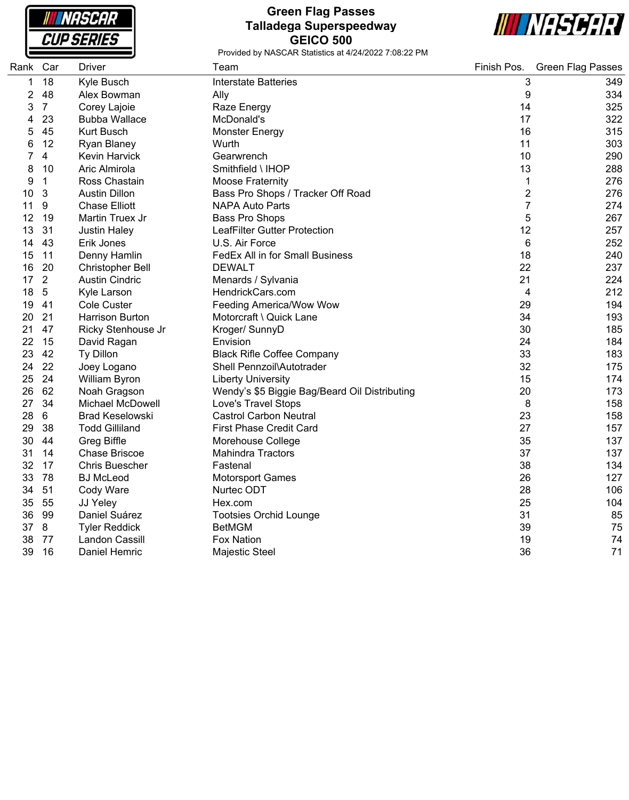NASCAR **CUP SERIES** 

## **Green Flag Passes Talladega Superspeedway GEICO 500**



| Rank Car |                | Driver                  | Team                                          | Finish Pos.    | <b>Green Flag Passes</b> |
|----------|----------------|-------------------------|-----------------------------------------------|----------------|--------------------------|
| 1        | 18             | Kyle Busch              | <b>Interstate Batteries</b>                   | 3              | 349                      |
| 2        | 48             | Alex Bowman             | Ally                                          | 9              | 334                      |
| 3        | $\overline{7}$ | Corey Lajoie            | Raze Energy                                   | 14             | 325                      |
| 4        | 23             | <b>Bubba Wallace</b>    | McDonald's                                    | 17             | 322                      |
| 5        | 45             | <b>Kurt Busch</b>       | <b>Monster Energy</b>                         | 16             | 315                      |
| 6        | 12             | Ryan Blaney             | Wurth                                         | 11             | 303                      |
|          | 4              | <b>Kevin Harvick</b>    | Gearwrench                                    | 10             | 290                      |
| 8        | 10             | Aric Almirola           | Smithfield \ IHOP                             | 13             | 288                      |
| 9        | $\mathbf 1$    | Ross Chastain           | <b>Moose Fraternity</b>                       | 1              | 276                      |
| 10       | 3              | <b>Austin Dillon</b>    | Bass Pro Shops / Tracker Off Road             | $\overline{2}$ | 276                      |
| 11       | 9              | <b>Chase Elliott</b>    | <b>NAPA Auto Parts</b>                        | $\overline{7}$ | 274                      |
| 12       | 19             | Martin Truex Jr         | <b>Bass Pro Shops</b>                         | 5              | 267                      |
| 13       | 31             | <b>Justin Haley</b>     | LeafFilter Gutter Protection                  | 12             | 257                      |
| 14       | 43             | Erik Jones              | U.S. Air Force                                | 6              | 252                      |
| 15       | 11             | Denny Hamlin            | FedEx All in for Small Business               | 18             | 240                      |
| 16       | 20             | Christopher Bell        | <b>DEWALT</b>                                 | 22             | 237                      |
| 17       | $\overline{2}$ | <b>Austin Cindric</b>   | Menards / Sylvania                            | 21             | 224                      |
| 18       | $\overline{5}$ | Kyle Larson             | HendrickCars.com                              | 4              | 212                      |
| 19       | 41             | <b>Cole Custer</b>      | <b>Feeding America/Wow Wow</b>                | 29             | 194                      |
| 20       | 21             | <b>Harrison Burton</b>  | Motorcraft \ Quick Lane                       | 34             | 193                      |
| 21       | 47             | Ricky Stenhouse Jr      | Kroger/ SunnyD                                | 30             | 185                      |
| 22       | 15             | David Ragan             | Envision                                      | 24             | 184                      |
| 23       | 42             | Ty Dillon               | <b>Black Rifle Coffee Company</b>             | 33             | 183                      |
| 24       | 22             | Joey Logano             | Shell Pennzoil\Autotrader                     | 32             | 175                      |
| 25       | 24             | William Byron           | <b>Liberty University</b>                     | 15             | 174                      |
| 26       | 62             | Noah Gragson            | Wendy's \$5 Biggie Bag/Beard Oil Distributing | 20             | 173                      |
| 27       | 34             | <b>Michael McDowell</b> | Love's Travel Stops                           | 8              | 158                      |
| 28       | $\,6\,$        | <b>Brad Keselowski</b>  | <b>Castrol Carbon Neutral</b>                 | 23             | 158                      |
| 29       | 38             | <b>Todd Gilliland</b>   | First Phase Credit Card                       | 27             | 157                      |
| 30       | 44             | <b>Greg Biffle</b>      | Morehouse College                             | 35             | 137                      |
| 31       | 14             | Chase Briscoe           | <b>Mahindra Tractors</b>                      | 37             | 137                      |
| 32       | 17             | <b>Chris Buescher</b>   | Fastenal                                      | 38             | 134                      |
| 33       | 78             | <b>BJ</b> McLeod        | <b>Motorsport Games</b>                       | 26             | 127                      |
| 34       | 51             | Cody Ware               | Nurtec ODT                                    | 28             | 106                      |
| 35       | 55             | JJ Yeley                | Hex.com                                       | 25             | 104                      |
| 36       | 99             | Daniel Suárez           | <b>Tootsies Orchid Lounge</b>                 | 31             | 85                       |
| 37       | 8              | <b>Tyler Reddick</b>    | <b>BetMGM</b>                                 | 39             | 75                       |
| 38       | 77             | <b>Landon Cassill</b>   | <b>Fox Nation</b>                             | 19             | 74                       |
| 39       | 16             | Daniel Hemric           | <b>Majestic Steel</b>                         | 36             | 71                       |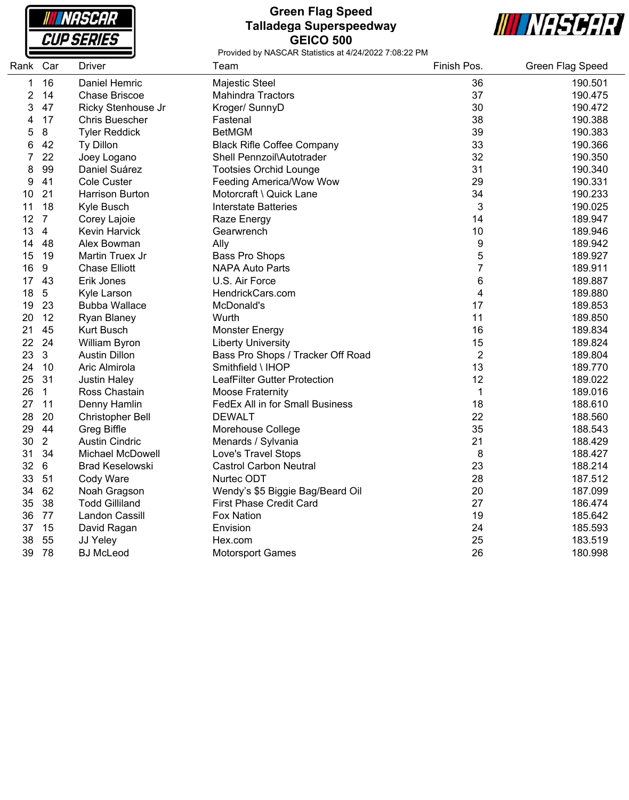NASCAR **CUP SERIES** 

#### **Green Flag Speed Talladega Superspeedway GEICO 500**



| Rank | Car            | <b>Driver</b>           | Team                              | Finish Pos.     | Green Flag Speed |
|------|----------------|-------------------------|-----------------------------------|-----------------|------------------|
| 1    | 16             | Daniel Hemric           | Majestic Steel                    | 36              | 190.501          |
| 2    | 14             | <b>Chase Briscoe</b>    | <b>Mahindra Tractors</b>          | 37              | 190.475          |
| 3    | 47             | Ricky Stenhouse Jr      | Kroger/ SunnyD                    | 30              | 190.472          |
| 4    | 17             | <b>Chris Buescher</b>   | Fastenal                          | 38              | 190.388          |
| 5    | 8              | <b>Tyler Reddick</b>    | <b>BetMGM</b>                     | 39              | 190.383          |
| 6    | 42             | Ty Dillon               | <b>Black Rifle Coffee Company</b> | 33              | 190.366          |
| 7    | 22             | Joey Logano             | Shell Pennzoil\Autotrader         | 32              | 190.350          |
| 8    | 99             | Daniel Suárez           | <b>Tootsies Orchid Lounge</b>     | 31              | 190.340          |
| 9    | 41             | <b>Cole Custer</b>      | Feeding America/Wow Wow           | 29              | 190.331          |
| 10   | 21             | Harrison Burton         | Motorcraft \ Quick Lane           | 34              | 190.233          |
| 11   | 18             | Kyle Busch              | <b>Interstate Batteries</b>       | 3               | 190.025          |
| 12   | $\overline{7}$ | Corey Lajoie            | Raze Energy                       | 14              | 189.947          |
| 13   | $\overline{4}$ | <b>Kevin Harvick</b>    | Gearwrench                        | 10              | 189.946          |
| 14   | 48             | Alex Bowman             | Ally                              | 9               | 189.942          |
| 15   | 19             | Martin Truex Jr         | Bass Pro Shops                    | 5               | 189.927          |
| 16   | 9              | <b>Chase Elliott</b>    | NAPA Auto Parts                   | $\overline{7}$  | 189.911          |
| 17   | 43             | Erik Jones              | U.S. Air Force                    | $6\phantom{1}6$ | 189.887          |
| 18   | $5\,$          | Kyle Larson             | HendrickCars.com                  | 4               | 189.880          |
| 19   | 23             | <b>Bubba Wallace</b>    | McDonald's                        | 17              | 189.853          |
| 20   | 12             | Ryan Blaney             | Wurth                             | 11              | 189.850          |
| 21   | 45             | Kurt Busch              | <b>Monster Energy</b>             | 16              | 189.834          |
| 22   | 24             | William Byron           | <b>Liberty University</b>         | 15              | 189.824          |
| 23   | $\mathbf{3}$   | <b>Austin Dillon</b>    | Bass Pro Shops / Tracker Off Road | $\overline{2}$  | 189.804          |
| 24   | 10             | Aric Almirola           | Smithfield \ IHOP                 | 13              | 189.770          |
| 25   | 31             | <b>Justin Haley</b>     | LeafFilter Gutter Protection      | 12              | 189.022          |
| 26   | $\mathbf{1}$   | Ross Chastain           | <b>Moose Fraternity</b>           | 1               | 189.016          |
| 27   | 11             | Denny Hamlin            | FedEx All in for Small Business   | 18              | 188.610          |
| 28   | 20             | <b>Christopher Bell</b> | <b>DEWALT</b>                     | 22              | 188.560          |
| 29   | 44             | <b>Greg Biffle</b>      | Morehouse College                 | 35              | 188.543          |
| 30   | $\overline{2}$ | <b>Austin Cindric</b>   | Menards / Sylvania                | 21              | 188.429          |
| 31   | 34             | <b>Michael McDowell</b> | Love's Travel Stops               | 8               | 188.427          |
| 32   | 6              | <b>Brad Keselowski</b>  | <b>Castrol Carbon Neutral</b>     | 23              | 188.214          |
| 33   | 51             | Cody Ware               | Nurtec ODT                        | 28              | 187.512          |
| 34   | 62             | Noah Gragson            | Wendy's \$5 Biggie Bag/Beard Oil  | 20              | 187.099          |
| 35   | 38             | <b>Todd Gilliland</b>   | <b>First Phase Credit Card</b>    | 27              | 186.474          |
| 36   | 77             | Landon Cassill          | <b>Fox Nation</b>                 | 19              | 185.642          |
| 37   | 15             | David Ragan             | Envision                          | 24              | 185.593          |
| 38   | 55             | JJ Yeley                | Hex.com                           | 25              | 183.519          |
| 39   | 78             | <b>BJ</b> McLeod        | <b>Motorsport Games</b>           | 26              | 180.998          |
|      |                |                         |                                   |                 |                  |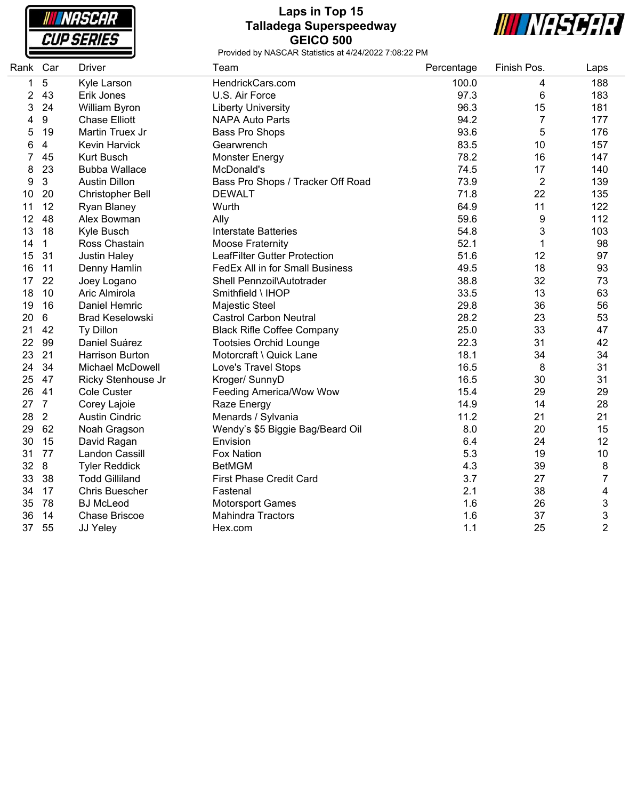NASCAR **CUP SERIES** 

## **Laps in Top 15 Talladega Superspeedway GEICO 500**



| Rank Car       |                | <b>Driver</b>           | Team                                | Percentage | Finish Pos.    | Laps           |
|----------------|----------------|-------------------------|-------------------------------------|------------|----------------|----------------|
| 1              | 5              | Kyle Larson             | HendrickCars.com                    | 100.0      | 4              | 188            |
| $\overline{2}$ | 43             | Erik Jones              | U.S. Air Force                      | 97.3       | 6              | 183            |
| 3              | 24             | William Byron           | <b>Liberty University</b>           | 96.3       | 15             | 181            |
| 4              | 9              | <b>Chase Elliott</b>    | <b>NAPA Auto Parts</b>              | 94.2       | 7              | 177            |
| 5              | 19             | Martin Truex Jr         | <b>Bass Pro Shops</b>               | 93.6       | 5              | 176            |
| 6              | 4              | <b>Kevin Harvick</b>    | Gearwrench                          | 83.5       | 10             | 157            |
| 7              | 45             | Kurt Busch              | <b>Monster Energy</b>               | 78.2       | 16             | 147            |
| 8              | 23             | <b>Bubba Wallace</b>    | McDonald's                          | 74.5       | 17             | 140            |
| 9              | 3              | <b>Austin Dillon</b>    | Bass Pro Shops / Tracker Off Road   | 73.9       | $\overline{2}$ | 139            |
| 10             | 20             | Christopher Bell        | <b>DEWALT</b>                       | 71.8       | 22             | 135            |
| 11             | 12             | <b>Ryan Blaney</b>      | Wurth                               | 64.9       | 11             | 122            |
| 12             | 48             | Alex Bowman             | Ally                                | 59.6       | 9              | 112            |
| 13             | 18             | Kyle Busch              | <b>Interstate Batteries</b>         | 54.8       | 3              | 103            |
| 14             | $\mathbf{1}$   | Ross Chastain           | Moose Fraternity                    | 52.1       | 1              | 98             |
| 15             | 31             | <b>Justin Haley</b>     | <b>LeafFilter Gutter Protection</b> | 51.6       | 12             | 97             |
| 16             | 11             | Denny Hamlin            | FedEx All in for Small Business     | 49.5       | 18             | 93             |
| 17             | 22             | Joey Logano             | Shell Pennzoil\Autotrader           | 38.8       | 32             | 73             |
| 18             | 10             | Aric Almirola           | Smithfield \ IHOP                   | 33.5       | 13             | 63             |
| 19             | 16             | Daniel Hemric           | Majestic Steel                      | 29.8       | 36             | 56             |
| 20             | 6              | <b>Brad Keselowski</b>  | <b>Castrol Carbon Neutral</b>       | 28.2       | 23             | 53             |
| 21             | 42             | Ty Dillon               | <b>Black Rifle Coffee Company</b>   | 25.0       | 33             | 47             |
| 22             | 99             | Daniel Suárez           | <b>Tootsies Orchid Lounge</b>       | 22.3       | 31             | 42             |
| 23             | 21             | Harrison Burton         | Motorcraft \ Quick Lane             | 18.1       | 34             | 34             |
| 24             | 34             | <b>Michael McDowell</b> | Love's Travel Stops                 | 16.5       | 8              | 31             |
| 25             | 47             | Ricky Stenhouse Jr      | Kroger/ SunnyD                      | 16.5       | 30             | 31             |
| 26             | 41             | <b>Cole Custer</b>      | Feeding America/Wow Wow             | 15.4       | 29             | 29             |
| 27             | $\overline{7}$ | Corey Lajoie            | Raze Energy                         | 14.9       | 14             | 28             |
| 28             | $\overline{2}$ | <b>Austin Cindric</b>   | Menards / Sylvania                  | 11.2       | 21             | 21             |
| 29             | 62             | Noah Gragson            | Wendy's \$5 Biggie Bag/Beard Oil    | 8.0        | 20             | 15             |
| 30             | 15             | David Ragan             | Envision                            | 6.4        | 24             | 12             |
| 31             | 77             | Landon Cassill          | <b>Fox Nation</b>                   | 5.3        | 19             | 10             |
| 32             | 8              | <b>Tyler Reddick</b>    | <b>BetMGM</b>                       | 4.3        | 39             | 8              |
| 33             | 38             | <b>Todd Gilliland</b>   | <b>First Phase Credit Card</b>      | 3.7        | 27             | 7              |
| 34             | 17             | <b>Chris Buescher</b>   | Fastenal                            | 2.1        | 38             | 4              |
| 35             | 78             | <b>BJ</b> McLeod        | <b>Motorsport Games</b>             | 1.6        | 26             | 3              |
| 36             | 14             | <b>Chase Briscoe</b>    | <b>Mahindra Tractors</b>            | 1.6        | 37             | 3              |
| 37             | 55             | JJ Yeley                | Hex.com                             | 1.1        | 25             | $\overline{2}$ |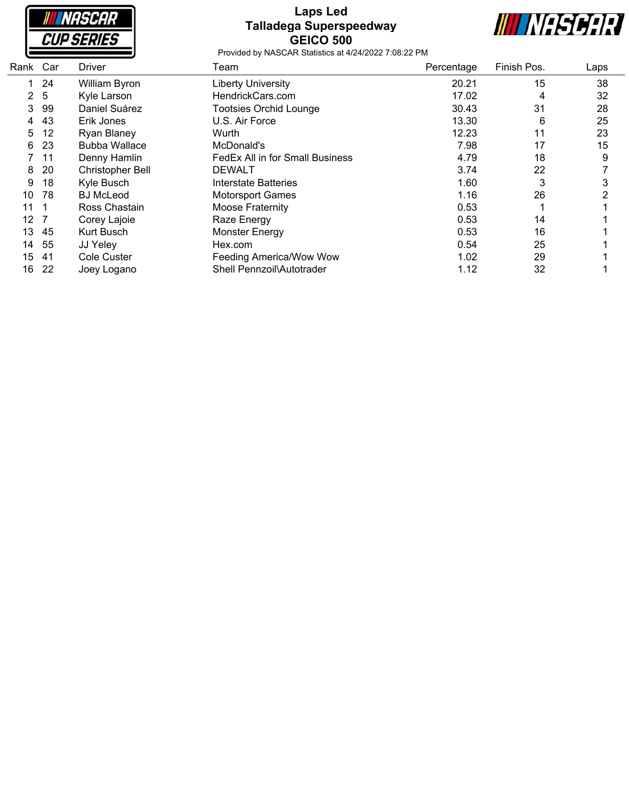| <b>NASCAR</b>     |  |
|-------------------|--|
| <i>CUP SERIES</i> |  |

#### **Laps Led Talladega Superspeedway GEICO 500**



| Rank Car |                | Driver                  | Team                            | Percentage | Finish Pos. | Laps |
|----------|----------------|-------------------------|---------------------------------|------------|-------------|------|
| 1.       | 24             | William Byron           | <b>Liberty University</b>       | 20.21      | 15          | 38   |
|          | 2 <sub>5</sub> | Kyle Larson             | HendrickCars.com                | 17.02      | 4           | 32   |
| 3        | 99             | Daniel Suárez           | <b>Tootsies Orchid Lounge</b>   | 30.43      | 31          | 28   |
| 4        | 43             | Erik Jones              | U.S. Air Force                  | 13.30      | 6           | 25   |
| 5        | 12             | <b>Ryan Blaney</b>      | Wurth                           | 12.23      | 11          | 23   |
| 6        | 23             | <b>Bubba Wallace</b>    | McDonald's                      | 7.98       | 17          | 15   |
|          | 11             | Denny Hamlin            | FedEx All in for Small Business | 4.79       | 18          | 9    |
| 8        | 20             | <b>Christopher Bell</b> | <b>DEWALT</b>                   | 3.74       | 22          |      |
| 9        | 18             | Kyle Busch              | Interstate Batteries            | 1.60       | 3           | 3    |
| 10       | 78             | <b>BJ</b> McLeod        | <b>Motorsport Games</b>         | 1.16       | 26          | 2    |
| 11       |                | Ross Chastain           | Moose Fraternity                | 0.53       |             |      |
| 12       |                | Corey Lajoie            | Raze Energy                     | 0.53       | 14          |      |
| 13       | 45             | Kurt Busch              | Monster Energy                  | 0.53       | 16          |      |
| 14       | 55             | JJ Yeley                | Hex.com                         | 0.54       | 25          |      |
| 15       | -41            | Cole Custer             | Feeding America/Wow Wow         | 1.02       | 29          |      |
| 16       | 22             | Joey Logano             | Shell Pennzoil\Autotrader       | 1.12       | 32          |      |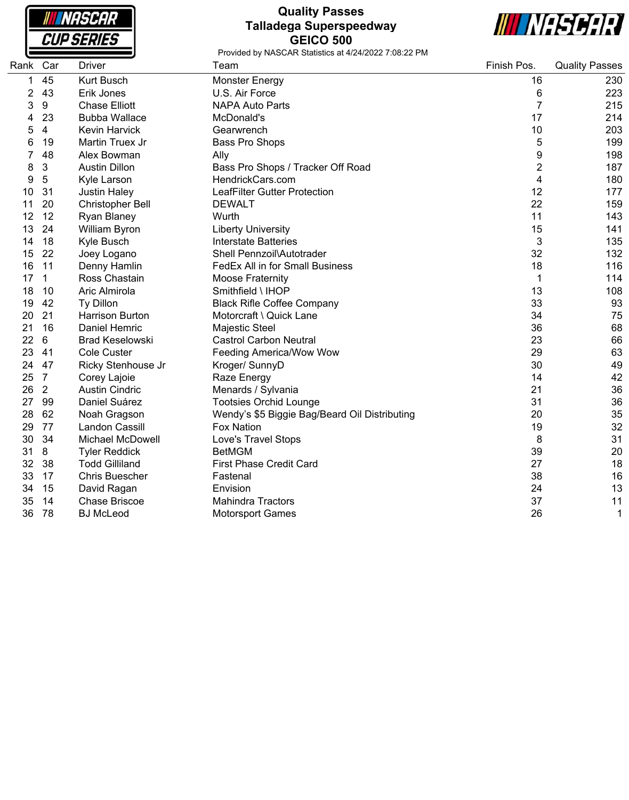| NASCAR            |  |
|-------------------|--|
| <i>CUP SERIES</i> |  |

## **Quality Passes Talladega Superspeedway GEICO 500**



| Rank | Car            | <b>Driver</b>           | Team                                          | Finish Pos.    | <b>Quality Passes</b> |
|------|----------------|-------------------------|-----------------------------------------------|----------------|-----------------------|
| 1    | 45             | <b>Kurt Busch</b>       | <b>Monster Energy</b>                         | 16             | 230                   |
| 2    | 43             | Erik Jones              | U.S. Air Force                                | 6              | 223                   |
| 3    | 9              | <b>Chase Elliott</b>    | <b>NAPA Auto Parts</b>                        | $\overline{7}$ | 215                   |
| 4    | 23             | <b>Bubba Wallace</b>    | McDonald's                                    | 17             | 214                   |
| 5    | 4              | <b>Kevin Harvick</b>    | Gearwrench                                    | 10             | 203                   |
| 6    | 19             | Martin Truex Jr         | Bass Pro Shops                                | 5              | 199                   |
|      | 48             | Alex Bowman             | Ally                                          | 9              | 198                   |
| 8    | 3              | <b>Austin Dillon</b>    | Bass Pro Shops / Tracker Off Road             | 2              | 187                   |
| 9    | 5              | Kyle Larson             | HendrickCars.com                              | 4              | 180                   |
| 10   | 31             | <b>Justin Haley</b>     | <b>LeafFilter Gutter Protection</b>           | 12             | 177                   |
| 11   | 20             | <b>Christopher Bell</b> | <b>DEWALT</b>                                 | 22             | 159                   |
| 12   | 12             | Ryan Blaney             | Wurth                                         | 11             | 143                   |
| 13   | 24             | William Byron           | <b>Liberty University</b>                     | 15             | 141                   |
| 14   | 18             | Kyle Busch              | <b>Interstate Batteries</b>                   | 3              | 135                   |
| 15   | 22             | Joey Logano             | Shell Pennzoil\Autotrader                     | 32             | 132                   |
| 16   | 11             | Denny Hamlin            | FedEx All in for Small Business               | 18             | 116                   |
| 17   | 1              | Ross Chastain           | Moose Fraternity                              | 1              | 114                   |
| 18   | 10             | Aric Almirola           | Smithfield \ IHOP                             | 13             | 108                   |
| 19   | 42             | Ty Dillon               | <b>Black Rifle Coffee Company</b>             | 33             | 93                    |
| 20   | 21             | <b>Harrison Burton</b>  | Motorcraft \ Quick Lane                       | 34             | 75                    |
| 21   | 16             | <b>Daniel Hemric</b>    | Majestic Steel                                | 36             | 68                    |
| 22   | 6              | <b>Brad Keselowski</b>  | <b>Castrol Carbon Neutral</b>                 | 23             | 66                    |
| 23   | 41             | <b>Cole Custer</b>      | <b>Feeding America/Wow Wow</b>                | 29             | 63                    |
| 24   | 47             | Ricky Stenhouse Jr      | Kroger/ SunnyD                                | 30             | 49                    |
| 25   | $\overline{7}$ | Corey Lajoie            | Raze Energy                                   | 14             | 42                    |
| 26   | $\overline{2}$ | <b>Austin Cindric</b>   | Menards / Sylvania                            | 21             | 36                    |
| 27   | 99             | Daniel Suárez           | <b>Tootsies Orchid Lounge</b>                 | 31             | 36                    |
| 28   | 62             | Noah Gragson            | Wendy's \$5 Biggie Bag/Beard Oil Distributing | 20             | 35                    |
| 29   | 77             | <b>Landon Cassill</b>   | <b>Fox Nation</b>                             | 19             | 32                    |
| 30   | 34             | <b>Michael McDowell</b> | Love's Travel Stops                           | 8              | 31                    |
| 31   | 8              | <b>Tyler Reddick</b>    | <b>BetMGM</b>                                 | 39             | 20                    |
| 32   | 38             | <b>Todd Gilliland</b>   | <b>First Phase Credit Card</b>                | 27             | 18                    |
| 33   | 17             | <b>Chris Buescher</b>   | Fastenal                                      | 38             | 16                    |
| 34   | 15             | David Ragan             | Envision                                      | 24             | 13                    |
| 35   | 14             | <b>Chase Briscoe</b>    | <b>Mahindra Tractors</b>                      | 37             | 11                    |
| 36   | 78             | <b>BJ McLeod</b>        | <b>Motorsport Games</b>                       | 26             |                       |